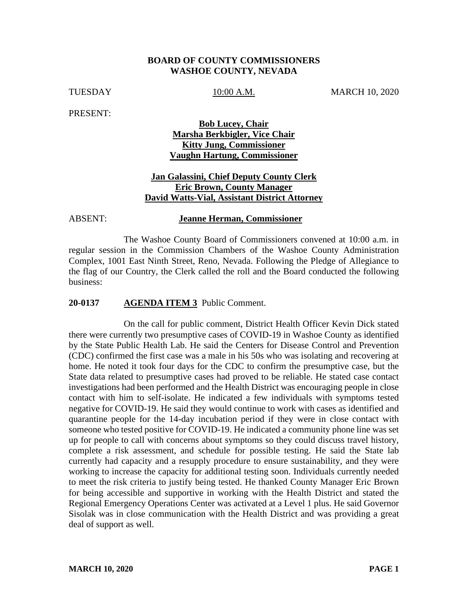### **BOARD OF COUNTY COMMISSIONERS WASHOE COUNTY, NEVADA**

TUESDAY 10:00 A.M. MARCH 10, 2020

PRESENT:

## **Bob Lucey, Chair Marsha Berkbigler, Vice Chair Kitty Jung, Commissioner Vaughn Hartung, Commissioner**

## **Jan Galassini, Chief Deputy County Clerk Eric Brown, County Manager David Watts-Vial, Assistant District Attorney**

## ABSENT: **Jeanne Herman, Commissioner**

The Washoe County Board of Commissioners convened at 10:00 a.m. in regular session in the Commission Chambers of the Washoe County Administration Complex, 1001 East Ninth Street, Reno, Nevada. Following the Pledge of Allegiance to the flag of our Country, the Clerk called the roll and the Board conducted the following business:

### **20-0137 AGENDA ITEM 3** Public Comment.

On the call for public comment, District Health Officer Kevin Dick stated there were currently two presumptive cases of COVID-19 in Washoe County as identified by the State Public Health Lab. He said the Centers for Disease Control and Prevention (CDC) confirmed the first case was a male in his 50s who was isolating and recovering at home. He noted it took four days for the CDC to confirm the presumptive case, but the State data related to presumptive cases had proved to be reliable. He stated case contact investigations had been performed and the Health District was encouraging people in close contact with him to self-isolate. He indicated a few individuals with symptoms tested negative for COVID-19. He said they would continue to work with cases as identified and quarantine people for the 14-day incubation period if they were in close contact with someone who tested positive for COVID-19. He indicated a community phone line was set up for people to call with concerns about symptoms so they could discuss travel history, complete a risk assessment, and schedule for possible testing. He said the State lab currently had capacity and a resupply procedure to ensure sustainability, and they were working to increase the capacity for additional testing soon. Individuals currently needed to meet the risk criteria to justify being tested. He thanked County Manager Eric Brown for being accessible and supportive in working with the Health District and stated the Regional Emergency Operations Center was activated at a Level 1 plus. He said Governor Sisolak was in close communication with the Health District and was providing a great deal of support as well.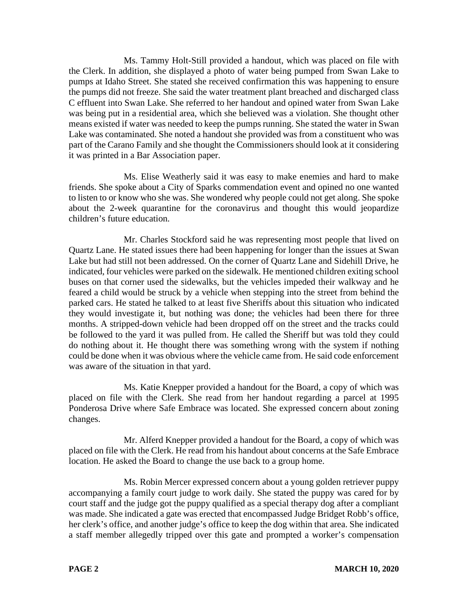Ms. Tammy Holt-Still provided a handout, which was placed on file with the Clerk. In addition, she displayed a photo of water being pumped from Swan Lake to pumps at Idaho Street. She stated she received confirmation this was happening to ensure the pumps did not freeze. She said the water treatment plant breached and discharged class C effluent into Swan Lake. She referred to her handout and opined water from Swan Lake was being put in a residential area, which she believed was a violation. She thought other means existed if water was needed to keep the pumps running. She stated the water in Swan Lake was contaminated. She noted a handout she provided was from a constituent who was part of the Carano Family and she thought the Commissioners should look at it considering it was printed in a Bar Association paper.

Ms. Elise Weatherly said it was easy to make enemies and hard to make friends. She spoke about a City of Sparks commendation event and opined no one wanted to listen to or know who she was. She wondered why people could not get along. She spoke about the 2-week quarantine for the coronavirus and thought this would jeopardize children's future education.

Mr. Charles Stockford said he was representing most people that lived on Quartz Lane. He stated issues there had been happening for longer than the issues at Swan Lake but had still not been addressed. On the corner of Quartz Lane and Sidehill Drive, he indicated, four vehicles were parked on the sidewalk. He mentioned children exiting school buses on that corner used the sidewalks, but the vehicles impeded their walkway and he feared a child would be struck by a vehicle when stepping into the street from behind the parked cars. He stated he talked to at least five Sheriffs about this situation who indicated they would investigate it, but nothing was done; the vehicles had been there for three months. A stripped-down vehicle had been dropped off on the street and the tracks could be followed to the yard it was pulled from. He called the Sheriff but was told they could do nothing about it. He thought there was something wrong with the system if nothing could be done when it was obvious where the vehicle came from. He said code enforcement was aware of the situation in that yard.

Ms. Katie Knepper provided a handout for the Board, a copy of which was placed on file with the Clerk. She read from her handout regarding a parcel at 1995 Ponderosa Drive where Safe Embrace was located. She expressed concern about zoning changes.

Mr. Alferd Knepper provided a handout for the Board, a copy of which was placed on file with the Clerk. He read from his handout about concerns at the Safe Embrace location. He asked the Board to change the use back to a group home.

Ms. Robin Mercer expressed concern about a young golden retriever puppy accompanying a family court judge to work daily. She stated the puppy was cared for by court staff and the judge got the puppy qualified as a special therapy dog after a compliant was made. She indicated a gate was erected that encompassed Judge Bridget Robb's office, her clerk's office, and another judge's office to keep the dog within that area. She indicated a staff member allegedly tripped over this gate and prompted a worker's compensation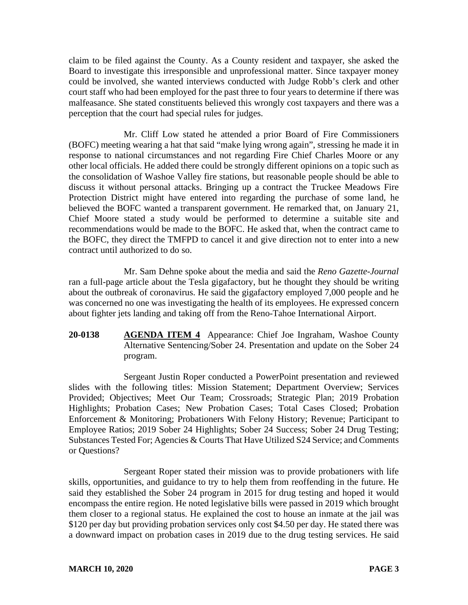claim to be filed against the County. As a County resident and taxpayer, she asked the Board to investigate this irresponsible and unprofessional matter. Since taxpayer money could be involved, she wanted interviews conducted with Judge Robb's clerk and other court staff who had been employed for the past three to four years to determine if there was malfeasance. She stated constituents believed this wrongly cost taxpayers and there was a perception that the court had special rules for judges.

Mr. Cliff Low stated he attended a prior Board of Fire Commissioners (BOFC) meeting wearing a hat that said "make lying wrong again", stressing he made it in response to national circumstances and not regarding Fire Chief Charles Moore or any other local officials. He added there could be strongly different opinions on a topic such as the consolidation of Washoe Valley fire stations, but reasonable people should be able to discuss it without personal attacks. Bringing up a contract the Truckee Meadows Fire Protection District might have entered into regarding the purchase of some land, he believed the BOFC wanted a transparent government. He remarked that, on January 21, Chief Moore stated a study would be performed to determine a suitable site and recommendations would be made to the BOFC. He asked that, when the contract came to the BOFC, they direct the TMFPD to cancel it and give direction not to enter into a new contract until authorized to do so.

Mr. Sam Dehne spoke about the media and said the *Reno Gazette-Journal* ran a full-page article about the Tesla gigafactory, but he thought they should be writing about the outbreak of coronavirus. He said the gigafactory employed 7,000 people and he was concerned no one was investigating the health of its employees. He expressed concern about fighter jets landing and taking off from the Reno-Tahoe International Airport.

**20-0138 AGENDA ITEM 4** Appearance: Chief Joe Ingraham, Washoe County Alternative Sentencing/Sober 24. Presentation and update on the Sober 24 program.

Sergeant Justin Roper conducted a PowerPoint presentation and reviewed slides with the following titles: Mission Statement; Department Overview; Services Provided; Objectives; Meet Our Team; Crossroads; Strategic Plan; 2019 Probation Highlights; Probation Cases; New Probation Cases; Total Cases Closed; Probation Enforcement & Monitoring; Probationers With Felony History; Revenue; Participant to Employee Ratios; 2019 Sober 24 Highlights; Sober 24 Success; Sober 24 Drug Testing; Substances Tested For; Agencies & Courts That Have Utilized S24 Service; and Comments or Questions?

Sergeant Roper stated their mission was to provide probationers with life skills, opportunities, and guidance to try to help them from reoffending in the future. He said they established the Sober 24 program in 2015 for drug testing and hoped it would encompass the entire region. He noted legislative bills were passed in 2019 which brought them closer to a regional status. He explained the cost to house an inmate at the jail was \$120 per day but providing probation services only cost \$4.50 per day. He stated there was a downward impact on probation cases in 2019 due to the drug testing services. He said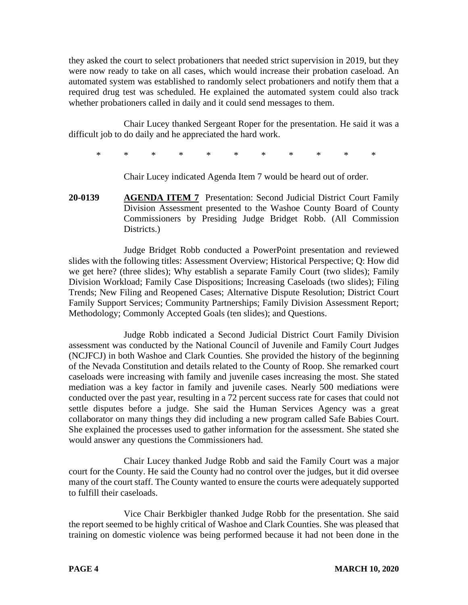they asked the court to select probationers that needed strict supervision in 2019, but they were now ready to take on all cases, which would increase their probation caseload. An automated system was established to randomly select probationers and notify them that a required drug test was scheduled. He explained the automated system could also track whether probationers called in daily and it could send messages to them.

Chair Lucey thanked Sergeant Roper for the presentation. He said it was a difficult job to do daily and he appreciated the hard work.

\* \* \* \* \* \* \* \* \* \* \*

Chair Lucey indicated Agenda Item 7 would be heard out of order.

**20-0139 AGENDA ITEM 7** Presentation: Second Judicial District Court Family Division Assessment presented to the Washoe County Board of County Commissioners by Presiding Judge Bridget Robb. (All Commission Districts.)

Judge Bridget Robb conducted a PowerPoint presentation and reviewed slides with the following titles: Assessment Overview; Historical Perspective; Q: How did we get here? (three slides); Why establish a separate Family Court (two slides); Family Division Workload; Family Case Dispositions; Increasing Caseloads (two slides); Filing Trends; New Filing and Reopened Cases; Alternative Dispute Resolution; District Court Family Support Services; Community Partnerships; Family Division Assessment Report; Methodology; Commonly Accepted Goals (ten slides); and Questions.

Judge Robb indicated a Second Judicial District Court Family Division assessment was conducted by the National Council of Juvenile and Family Court Judges (NCJFCJ) in both Washoe and Clark Counties. She provided the history of the beginning of the Nevada Constitution and details related to the County of Roop. She remarked court caseloads were increasing with family and juvenile cases increasing the most. She stated mediation was a key factor in family and juvenile cases. Nearly 500 mediations were conducted over the past year, resulting in a 72 percent success rate for cases that could not settle disputes before a judge. She said the Human Services Agency was a great collaborator on many things they did including a new program called Safe Babies Court. She explained the processes used to gather information for the assessment. She stated she would answer any questions the Commissioners had.

Chair Lucey thanked Judge Robb and said the Family Court was a major court for the County. He said the County had no control over the judges, but it did oversee many of the court staff. The County wanted to ensure the courts were adequately supported to fulfill their caseloads.

Vice Chair Berkbigler thanked Judge Robb for the presentation. She said the report seemed to be highly critical of Washoe and Clark Counties. She was pleased that training on domestic violence was being performed because it had not been done in the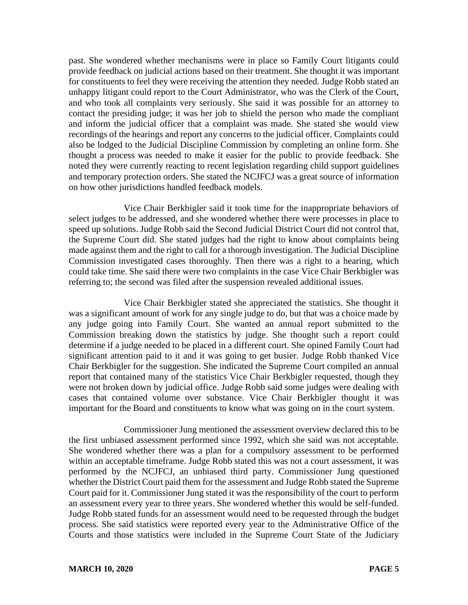past. She wondered whether mechanisms were in place so Family Court litigants could provide feedback on judicial actions based on their treatment. She thought it was important for constituents to feel they were receiving the attention they needed. Judge Robb stated an unhappy litigant could report to the Court Administrator, who was the Clerk of the Court, and who took all complaints very seriously. She said it was possible for an attorney to contact the presiding judge; it was her job to shield the person who made the compliant and inform the judicial officer that a complaint was made. She stated she would view recordings of the hearings and report any concerns to the judicial officer. Complaints could also be lodged to the Judicial Discipline Commission by completing an online form. She thought a process was needed to make it easier for the public to provide feedback. She noted they were currently reacting to recent legislation regarding child support guidelines and temporary protection orders. She stated the NCJFCJ was a great source of information on how other jurisdictions handled feedback models.

Vice Chair Berkbigler said it took time for the inappropriate behaviors of select judges to be addressed, and she wondered whether there were processes in place to speed up solutions. Judge Robb said the Second Judicial District Court did not control that, the Supreme Court did. She stated judges had the right to know about complaints being made against them and the right to call for a thorough investigation. The Judicial Discipline Commission investigated cases thoroughly. Then there was a right to a hearing, which could take time. She said there were two complaints in the case Vice Chair Berkbigler was referring to; the second was filed after the suspension revealed additional issues.

Vice Chair Berkbigler stated she appreciated the statistics. She thought it was a significant amount of work for any single judge to do, but that was a choice made by any judge going into Family Court. She wanted an annual report submitted to the Commission breaking down the statistics by judge. She thought such a report could determine if a judge needed to be placed in a different court. She opined Family Court had significant attention paid to it and it was going to get busier. Judge Robb thanked Vice Chair Berkbigler for the suggestion. She indicated the Supreme Court compiled an annual report that contained many of the statistics Vice Chair Berkbigler requested, though they were not broken down by judicial office. Judge Robb said some judges were dealing with cases that contained volume over substance. Vice Chair Berkbigler thought it was important for the Board and constituents to know what was going on in the court system.

Commissioner Jung mentioned the assessment overview declared this to be the first unbiased assessment performed since 1992, which she said was not acceptable. She wondered whether there was a plan for a compulsory assessment to be performed within an acceptable timeframe. Judge Robb stated this was not a court assessment, it was performed by the NCJFCJ, an unbiased third party. Commissioner Jung questioned whether the District Court paid them for the assessment and Judge Robb stated the Supreme Court paid for it. Commissioner Jung stated it was the responsibility of the court to perform an assessment every year to three years. She wondered whether this would be self-funded. Judge Robb stated funds for an assessment would need to be requested through the budget process. She said statistics were reported every year to the Administrative Office of the Courts and those statistics were included in the Supreme Court State of the Judiciary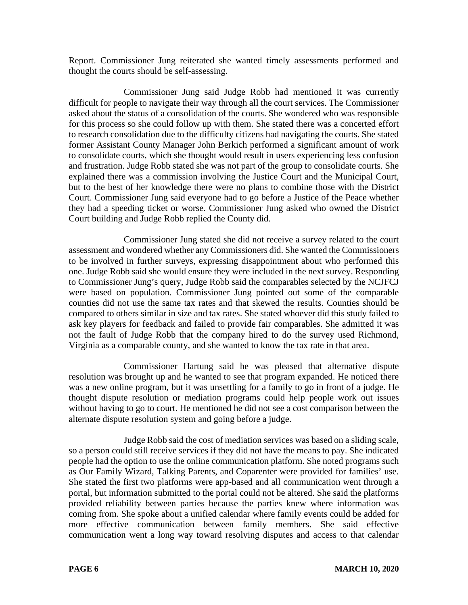Report. Commissioner Jung reiterated she wanted timely assessments performed and thought the courts should be self-assessing.

Commissioner Jung said Judge Robb had mentioned it was currently difficult for people to navigate their way through all the court services. The Commissioner asked about the status of a consolidation of the courts. She wondered who was responsible for this process so she could follow up with them. She stated there was a concerted effort to research consolidation due to the difficulty citizens had navigating the courts. She stated former Assistant County Manager John Berkich performed a significant amount of work to consolidate courts, which she thought would result in users experiencing less confusion and frustration. Judge Robb stated she was not part of the group to consolidate courts. She explained there was a commission involving the Justice Court and the Municipal Court, but to the best of her knowledge there were no plans to combine those with the District Court. Commissioner Jung said everyone had to go before a Justice of the Peace whether they had a speeding ticket or worse. Commissioner Jung asked who owned the District Court building and Judge Robb replied the County did.

Commissioner Jung stated she did not receive a survey related to the court assessment and wondered whether any Commissioners did. She wanted the Commissioners to be involved in further surveys, expressing disappointment about who performed this one. Judge Robb said she would ensure they were included in the next survey. Responding to Commissioner Jung's query, Judge Robb said the comparables selected by the NCJFCJ were based on population. Commissioner Jung pointed out some of the comparable counties did not use the same tax rates and that skewed the results. Counties should be compared to others similar in size and tax rates. She stated whoever did this study failed to ask key players for feedback and failed to provide fair comparables. She admitted it was not the fault of Judge Robb that the company hired to do the survey used Richmond, Virginia as a comparable county, and she wanted to know the tax rate in that area.

Commissioner Hartung said he was pleased that alternative dispute resolution was brought up and he wanted to see that program expanded. He noticed there was a new online program, but it was unsettling for a family to go in front of a judge. He thought dispute resolution or mediation programs could help people work out issues without having to go to court. He mentioned he did not see a cost comparison between the alternate dispute resolution system and going before a judge.

Judge Robb said the cost of mediation services was based on a sliding scale, so a person could still receive services if they did not have the means to pay. She indicated people had the option to use the online communication platform. She noted programs such as Our Family Wizard, Talking Parents, and Coparenter were provided for families' use. She stated the first two platforms were app-based and all communication went through a portal, but information submitted to the portal could not be altered. She said the platforms provided reliability between parties because the parties knew where information was coming from. She spoke about a unified calendar where family events could be added for more effective communication between family members. She said effective communication went a long way toward resolving disputes and access to that calendar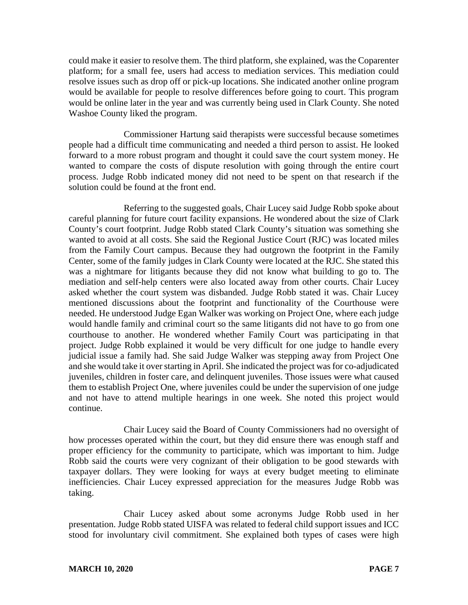could make it easier to resolve them. The third platform, she explained, was the Coparenter platform; for a small fee, users had access to mediation services. This mediation could resolve issues such as drop off or pick-up locations. She indicated another online program would be available for people to resolve differences before going to court. This program would be online later in the year and was currently being used in Clark County. She noted Washoe County liked the program.

Commissioner Hartung said therapists were successful because sometimes people had a difficult time communicating and needed a third person to assist. He looked forward to a more robust program and thought it could save the court system money. He wanted to compare the costs of dispute resolution with going through the entire court process. Judge Robb indicated money did not need to be spent on that research if the solution could be found at the front end.

Referring to the suggested goals, Chair Lucey said Judge Robb spoke about careful planning for future court facility expansions. He wondered about the size of Clark County's court footprint. Judge Robb stated Clark County's situation was something she wanted to avoid at all costs. She said the Regional Justice Court (RJC) was located miles from the Family Court campus. Because they had outgrown the footprint in the Family Center, some of the family judges in Clark County were located at the RJC. She stated this was a nightmare for litigants because they did not know what building to go to. The mediation and self-help centers were also located away from other courts. Chair Lucey asked whether the court system was disbanded. Judge Robb stated it was. Chair Lucey mentioned discussions about the footprint and functionality of the Courthouse were needed. He understood Judge Egan Walker was working on Project One, where each judge would handle family and criminal court so the same litigants did not have to go from one courthouse to another. He wondered whether Family Court was participating in that project. Judge Robb explained it would be very difficult for one judge to handle every judicial issue a family had. She said Judge Walker was stepping away from Project One and she would take it over starting in April. She indicated the project was for co-adjudicated juveniles, children in foster care, and delinquent juveniles. Those issues were what caused them to establish Project One, where juveniles could be under the supervision of one judge and not have to attend multiple hearings in one week. She noted this project would continue.

Chair Lucey said the Board of County Commissioners had no oversight of how processes operated within the court, but they did ensure there was enough staff and proper efficiency for the community to participate, which was important to him. Judge Robb said the courts were very cognizant of their obligation to be good stewards with taxpayer dollars. They were looking for ways at every budget meeting to eliminate inefficiencies. Chair Lucey expressed appreciation for the measures Judge Robb was taking.

Chair Lucey asked about some acronyms Judge Robb used in her presentation. Judge Robb stated UISFA was related to federal child support issues and ICC stood for involuntary civil commitment. She explained both types of cases were high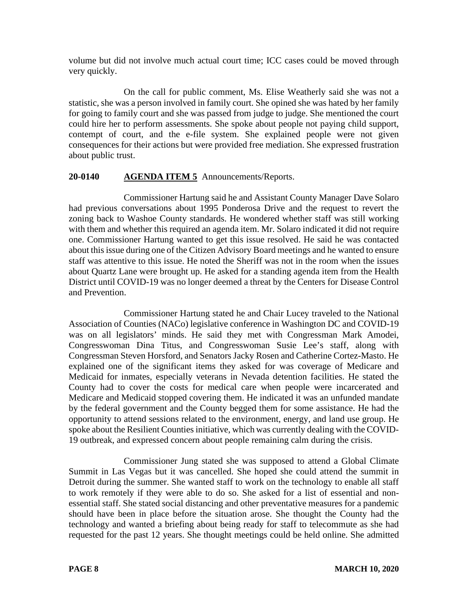volume but did not involve much actual court time; ICC cases could be moved through very quickly.

On the call for public comment, Ms. Elise Weatherly said she was not a statistic, she was a person involved in family court. She opined she was hated by her family for going to family court and she was passed from judge to judge. She mentioned the court could hire her to perform assessments. She spoke about people not paying child support, contempt of court, and the e-file system. She explained people were not given consequences for their actions but were provided free mediation. She expressed frustration about public trust.

# **20-0140 AGENDA ITEM 5** Announcements/Reports.

Commissioner Hartung said he and Assistant County Manager Dave Solaro had previous conversations about 1995 Ponderosa Drive and the request to revert the zoning back to Washoe County standards. He wondered whether staff was still working with them and whether this required an agenda item. Mr. Solaro indicated it did not require one. Commissioner Hartung wanted to get this issue resolved. He said he was contacted about this issue during one of the Citizen Advisory Board meetings and he wanted to ensure staff was attentive to this issue. He noted the Sheriff was not in the room when the issues about Quartz Lane were brought up. He asked for a standing agenda item from the Health District until COVID-19 was no longer deemed a threat by the Centers for Disease Control and Prevention.

Commissioner Hartung stated he and Chair Lucey traveled to the National Association of Counties (NACo) legislative conference in Washington DC and COVID-19 was on all legislators' minds. He said they met with Congressman Mark Amodei, Congresswoman Dina Titus, and Congresswoman Susie Lee's staff, along with Congressman Steven Horsford, and Senators Jacky Rosen and Catherine Cortez-Masto. He explained one of the significant items they asked for was coverage of Medicare and Medicaid for inmates, especially veterans in Nevada detention facilities. He stated the County had to cover the costs for medical care when people were incarcerated and Medicare and Medicaid stopped covering them. He indicated it was an unfunded mandate by the federal government and the County begged them for some assistance. He had the opportunity to attend sessions related to the environment, energy, and land use group. He spoke about the Resilient Counties initiative, which was currently dealing with the COVID-19 outbreak, and expressed concern about people remaining calm during the crisis.

Commissioner Jung stated she was supposed to attend a Global Climate Summit in Las Vegas but it was cancelled. She hoped she could attend the summit in Detroit during the summer. She wanted staff to work on the technology to enable all staff to work remotely if they were able to do so. She asked for a list of essential and nonessential staff. She stated social distancing and other preventative measures for a pandemic should have been in place before the situation arose. She thought the County had the technology and wanted a briefing about being ready for staff to telecommute as she had requested for the past 12 years. She thought meetings could be held online. She admitted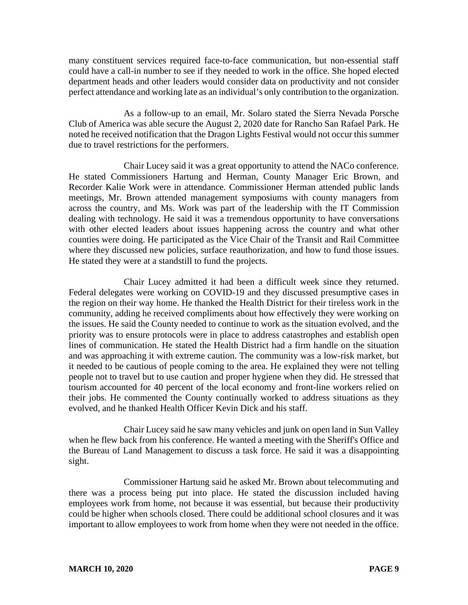many constituent services required face-to-face communication, but non-essential staff could have a call-in number to see if they needed to work in the office. She hoped elected department heads and other leaders would consider data on productivity and not consider perfect attendance and working late as an individual's only contribution to the organization.

As a follow-up to an email, Mr. Solaro stated the Sierra Nevada Porsche Club of America was able secure the August 2, 2020 date for Rancho San Rafael Park. He noted he received notification that the Dragon Lights Festival would not occur this summer due to travel restrictions for the performers.

Chair Lucey said it was a great opportunity to attend the NACo conference. He stated Commissioners Hartung and Herman, County Manager Eric Brown, and Recorder Kalie Work were in attendance. Commissioner Herman attended public lands meetings, Mr. Brown attended management symposiums with county managers from across the country, and Ms. Work was part of the leadership with the IT Commission dealing with technology. He said it was a tremendous opportunity to have conversations with other elected leaders about issues happening across the country and what other counties were doing. He participated as the Vice Chair of the Transit and Rail Committee where they discussed new policies, surface reauthorization, and how to fund those issues. He stated they were at a standstill to fund the projects.

Chair Lucey admitted it had been a difficult week since they returned. Federal delegates were working on COVID-19 and they discussed presumptive cases in the region on their way home. He thanked the Health District for their tireless work in the community, adding he received compliments about how effectively they were working on the issues. He said the County needed to continue to work as the situation evolved, and the priority was to ensure protocols were in place to address catastrophes and establish open lines of communication. He stated the Health District had a firm handle on the situation and was approaching it with extreme caution. The community was a low-risk market, but it needed to be cautious of people coming to the area. He explained they were not telling people not to travel but to use caution and proper hygiene when they did. He stressed that tourism accounted for 40 percent of the local economy and front-line workers relied on their jobs. He commented the County continually worked to address situations as they evolved, and he thanked Health Officer Kevin Dick and his staff.

Chair Lucey said he saw many vehicles and junk on open land in Sun Valley when he flew back from his conference. He wanted a meeting with the Sheriff's Office and the Bureau of Land Management to discuss a task force. He said it was a disappointing sight.

Commissioner Hartung said he asked Mr. Brown about telecommuting and there was a process being put into place. He stated the discussion included having employees work from home, not because it was essential, but because their productivity could be higher when schools closed. There could be additional school closures and it was important to allow employees to work from home when they were not needed in the office.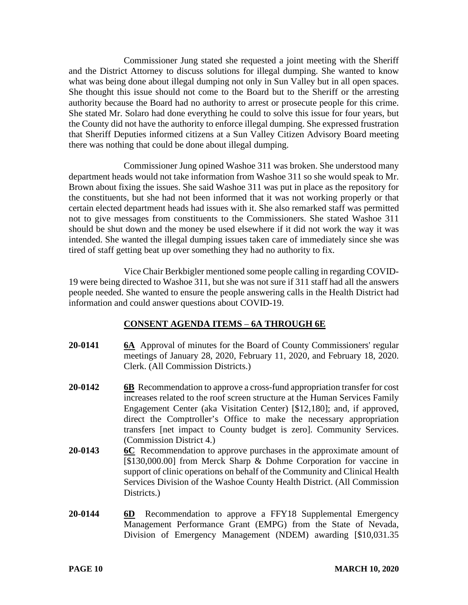Commissioner Jung stated she requested a joint meeting with the Sheriff and the District Attorney to discuss solutions for illegal dumping. She wanted to know what was being done about illegal dumping not only in Sun Valley but in all open spaces. She thought this issue should not come to the Board but to the Sheriff or the arresting authority because the Board had no authority to arrest or prosecute people for this crime. She stated Mr. Solaro had done everything he could to solve this issue for four years, but the County did not have the authority to enforce illegal dumping. She expressed frustration that Sheriff Deputies informed citizens at a Sun Valley Citizen Advisory Board meeting there was nothing that could be done about illegal dumping.

Commissioner Jung opined Washoe 311 was broken. She understood many department heads would not take information from Washoe 311 so she would speak to Mr. Brown about fixing the issues. She said Washoe 311 was put in place as the repository for the constituents, but she had not been informed that it was not working properly or that certain elected department heads had issues with it. She also remarked staff was permitted not to give messages from constituents to the Commissioners. She stated Washoe 311 should be shut down and the money be used elsewhere if it did not work the way it was intended. She wanted the illegal dumping issues taken care of immediately since she was tired of staff getting beat up over something they had no authority to fix.

Vice Chair Berkbigler mentioned some people calling in regarding COVID-19 were being directed to Washoe 311, but she was not sure if 311 staff had all the answers people needed. She wanted to ensure the people answering calls in the Health District had information and could answer questions about COVID-19.

# **CONSENT AGENDA ITEMS** – **6A THROUGH 6E**

- **20-0141 6A** Approval of minutes for the Board of County Commissioners' regular meetings of January 28, 2020, February 11, 2020, and February 18, 2020. Clerk. (All Commission Districts.)
- **20-0142 6B** Recommendation to approve a cross-fund appropriation transfer for cost increases related to the roof screen structure at the Human Services Family Engagement Center (aka Visitation Center) [\$12,180]; and, if approved, direct the Comptroller's Office to make the necessary appropriation transfers [net impact to County budget is zero]. Community Services. (Commission District 4.)
- **20-0143 6C** Recommendation to approve purchases in the approximate amount of [\$130,000.00] from Merck Sharp & Dohme Corporation for vaccine in support of clinic operations on behalf of the Community and Clinical Health Services Division of the Washoe County Health District. (All Commission Districts.)
- **20-0144 6D** Recommendation to approve a FFY18 Supplemental Emergency Management Performance Grant (EMPG) from the State of Nevada, Division of Emergency Management (NDEM) awarding [\$10,031.35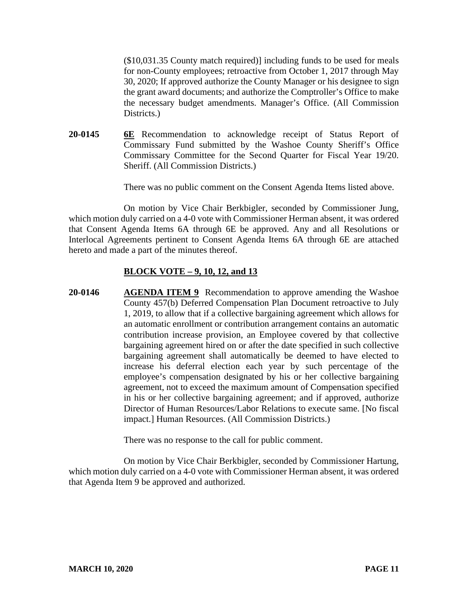(\$10,031.35 County match required)] including funds to be used for meals for non-County employees; retroactive from October 1, 2017 through May 30, 2020; If approved authorize the County Manager or his designee to sign the grant award documents; and authorize the Comptroller's Office to make the necessary budget amendments. Manager's Office. (All Commission Districts.

**20-0145 6E** Recommendation to acknowledge receipt of Status Report of Commissary Fund submitted by the Washoe County Sheriff's Office Commissary Committee for the Second Quarter for Fiscal Year 19/20. Sheriff. (All Commission Districts.)

There was no public comment on the Consent Agenda Items listed above.

On motion by Vice Chair Berkbigler, seconded by Commissioner Jung, which motion duly carried on a 4-0 vote with Commissioner Herman absent, it was ordered that Consent Agenda Items 6A through 6E be approved. Any and all Resolutions or Interlocal Agreements pertinent to Consent Agenda Items 6A through 6E are attached hereto and made a part of the minutes thereof.

#### **BLOCK VOTE – 9, 10, 12, and 13**

**20-0146 AGENDA ITEM 9** Recommendation to approve amending the Washoe County 457(b) Deferred Compensation Plan Document retroactive to July 1, 2019, to allow that if a collective bargaining agreement which allows for an automatic enrollment or contribution arrangement contains an automatic contribution increase provision, an Employee covered by that collective bargaining agreement hired on or after the date specified in such collective bargaining agreement shall automatically be deemed to have elected to increase his deferral election each year by such percentage of the employee's compensation designated by his or her collective bargaining agreement, not to exceed the maximum amount of Compensation specified in his or her collective bargaining agreement; and if approved, authorize Director of Human Resources/Labor Relations to execute same. [No fiscal impact.] Human Resources. (All Commission Districts.)

There was no response to the call for public comment.

On motion by Vice Chair Berkbigler, seconded by Commissioner Hartung, which motion duly carried on a 4-0 vote with Commissioner Herman absent, it was ordered that Agenda Item 9 be approved and authorized.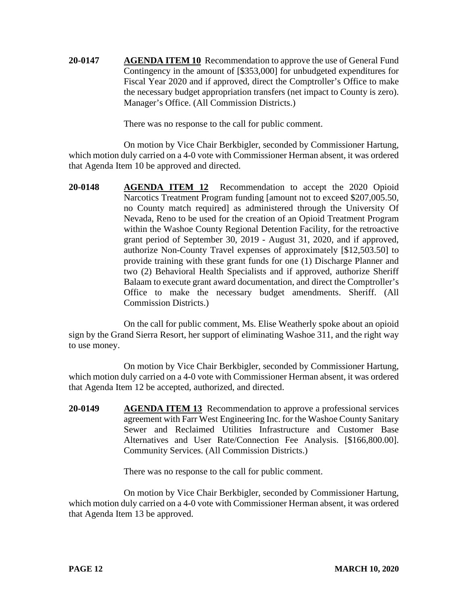**20-0147 AGENDA ITEM 10** Recommendation to approve the use of General Fund Contingency in the amount of [\$353,000] for unbudgeted expenditures for Fiscal Year 2020 and if approved, direct the Comptroller's Office to make the necessary budget appropriation transfers (net impact to County is zero). Manager's Office. (All Commission Districts.)

There was no response to the call for public comment.

On motion by Vice Chair Berkbigler, seconded by Commissioner Hartung, which motion duly carried on a 4-0 vote with Commissioner Herman absent, it was ordered that Agenda Item 10 be approved and directed.

**20-0148 AGENDA ITEM 12** Recommendation to accept the 2020 Opioid Narcotics Treatment Program funding [amount not to exceed \$207,005.50, no County match required] as administered through the University Of Nevada, Reno to be used for the creation of an Opioid Treatment Program within the Washoe County Regional Detention Facility, for the retroactive grant period of September 30, 2019 - August 31, 2020, and if approved, authorize Non-County Travel expenses of approximately [\$12,503.50] to provide training with these grant funds for one (1) Discharge Planner and two (2) Behavioral Health Specialists and if approved, authorize Sheriff Balaam to execute grant award documentation, and direct the Comptroller's Office to make the necessary budget amendments. Sheriff. (All Commission Districts.)

On the call for public comment, Ms. Elise Weatherly spoke about an opioid sign by the Grand Sierra Resort, her support of eliminating Washoe 311, and the right way to use money.

On motion by Vice Chair Berkbigler, seconded by Commissioner Hartung, which motion duly carried on a 4-0 vote with Commissioner Herman absent, it was ordered that Agenda Item 12 be accepted, authorized, and directed.

**20-0149 AGENDA ITEM 13** Recommendation to approve a professional services agreement with Farr West Engineering Inc. for the Washoe County Sanitary Sewer and Reclaimed Utilities Infrastructure and Customer Base Alternatives and User Rate/Connection Fee Analysis. [\$166,800.00]. Community Services. (All Commission Districts.)

There was no response to the call for public comment.

On motion by Vice Chair Berkbigler, seconded by Commissioner Hartung, which motion duly carried on a 4-0 vote with Commissioner Herman absent, it was ordered that Agenda Item 13 be approved.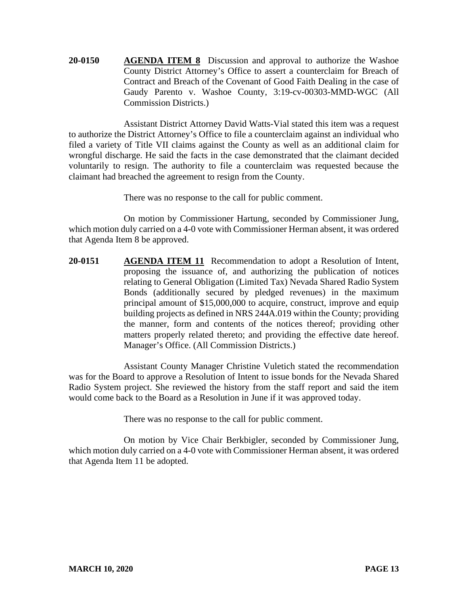**20-0150 AGENDA ITEM 8** Discussion and approval to authorize the Washoe County District Attorney's Office to assert a counterclaim for Breach of Contract and Breach of the Covenant of Good Faith Dealing in the case of Gaudy Parento v. Washoe County, 3:19-cv-00303-MMD-WGC (All Commission Districts.)

Assistant District Attorney David Watts-Vial stated this item was a request to authorize the District Attorney's Office to file a counterclaim against an individual who filed a variety of Title VII claims against the County as well as an additional claim for wrongful discharge. He said the facts in the case demonstrated that the claimant decided voluntarily to resign. The authority to file a counterclaim was requested because the claimant had breached the agreement to resign from the County.

There was no response to the call for public comment.

On motion by Commissioner Hartung, seconded by Commissioner Jung, which motion duly carried on a 4-0 vote with Commissioner Herman absent, it was ordered that Agenda Item 8 be approved.

**20-0151 AGENDA ITEM 11** Recommendation to adopt a Resolution of Intent, proposing the issuance of, and authorizing the publication of notices relating to General Obligation (Limited Tax) Nevada Shared Radio System Bonds (additionally secured by pledged revenues) in the maximum principal amount of \$15,000,000 to acquire, construct, improve and equip building projects as defined in NRS 244A.019 within the County; providing the manner, form and contents of the notices thereof; providing other matters properly related thereto; and providing the effective date hereof. Manager's Office. (All Commission Districts.)

Assistant County Manager Christine Vuletich stated the recommendation was for the Board to approve a Resolution of Intent to issue bonds for the Nevada Shared Radio System project. She reviewed the history from the staff report and said the item would come back to the Board as a Resolution in June if it was approved today.

There was no response to the call for public comment.

On motion by Vice Chair Berkbigler, seconded by Commissioner Jung, which motion duly carried on a 4-0 vote with Commissioner Herman absent, it was ordered that Agenda Item 11 be adopted.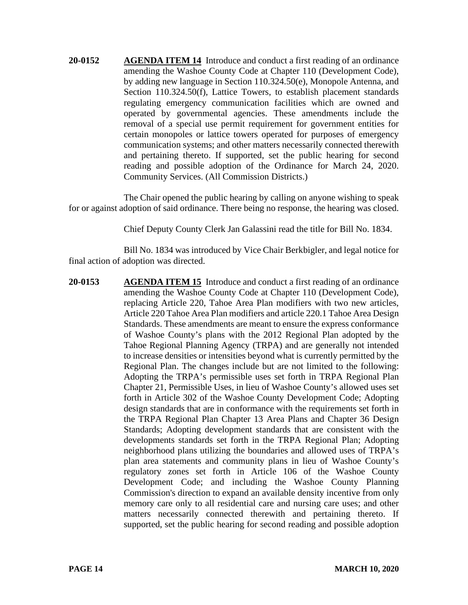**20-0152 AGENDA ITEM 14** Introduce and conduct a first reading of an ordinance amending the Washoe County Code at Chapter 110 (Development Code), by adding new language in Section 110.324.50(e), Monopole Antenna, and Section 110.324.50(f), Lattice Towers, to establish placement standards regulating emergency communication facilities which are owned and operated by governmental agencies. These amendments include the removal of a special use permit requirement for government entities for certain monopoles or lattice towers operated for purposes of emergency communication systems; and other matters necessarily connected therewith and pertaining thereto. If supported, set the public hearing for second reading and possible adoption of the Ordinance for March 24, 2020. Community Services. (All Commission Districts.)

The Chair opened the public hearing by calling on anyone wishing to speak for or against adoption of said ordinance. There being no response, the hearing was closed.

Chief Deputy County Clerk Jan Galassini read the title for Bill No. 1834.

Bill No. 1834 was introduced by Vice Chair Berkbigler, and legal notice for final action of adoption was directed.

**20-0153 AGENDA ITEM 15** Introduce and conduct a first reading of an ordinance amending the Washoe County Code at Chapter 110 (Development Code), replacing Article 220, Tahoe Area Plan modifiers with two new articles, Article 220 Tahoe Area Plan modifiers and article 220.1 Tahoe Area Design Standards. These amendments are meant to ensure the express conformance of Washoe County's plans with the 2012 Regional Plan adopted by the Tahoe Regional Planning Agency (TRPA) and are generally not intended to increase densities or intensities beyond what is currently permitted by the Regional Plan. The changes include but are not limited to the following: Adopting the TRPA's permissible uses set forth in TRPA Regional Plan Chapter 21, Permissible Uses, in lieu of Washoe County's allowed uses set forth in Article 302 of the Washoe County Development Code; Adopting design standards that are in conformance with the requirements set forth in the TRPA Regional Plan Chapter 13 Area Plans and Chapter 36 Design Standards; Adopting development standards that are consistent with the developments standards set forth in the TRPA Regional Plan; Adopting neighborhood plans utilizing the boundaries and allowed uses of TRPA's plan area statements and community plans in lieu of Washoe County's regulatory zones set forth in Article 106 of the Washoe County Development Code; and including the Washoe County Planning Commission's direction to expand an available density incentive from only memory care only to all residential care and nursing care uses; and other matters necessarily connected therewith and pertaining thereto. If supported, set the public hearing for second reading and possible adoption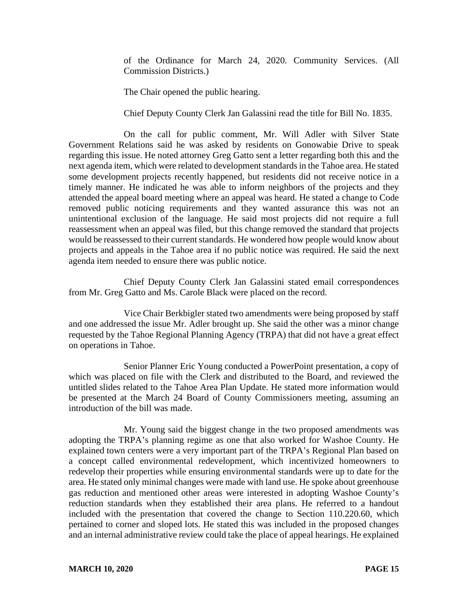of the Ordinance for March 24, 2020. Community Services. (All Commission Districts.)

The Chair opened the public hearing.

Chief Deputy County Clerk Jan Galassini read the title for Bill No. 1835.

On the call for public comment, Mr. Will Adler with Silver State Government Relations said he was asked by residents on Gonowabie Drive to speak regarding this issue. He noted attorney Greg Gatto sent a letter regarding both this and the next agenda item, which were related to development standardsin the Tahoe area. He stated some development projects recently happened, but residents did not receive notice in a timely manner. He indicated he was able to inform neighbors of the projects and they attended the appeal board meeting where an appeal was heard. He stated a change to Code removed public noticing requirements and they wanted assurance this was not an unintentional exclusion of the language. He said most projects did not require a full reassessment when an appeal was filed, but this change removed the standard that projects would be reassessed to their current standards. He wondered how people would know about projects and appeals in the Tahoe area if no public notice was required. He said the next agenda item needed to ensure there was public notice.

Chief Deputy County Clerk Jan Galassini stated email correspondences from Mr. Greg Gatto and Ms. Carole Black were placed on the record.

Vice Chair Berkbigler stated two amendments were being proposed by staff and one addressed the issue Mr. Adler brought up. She said the other was a minor change requested by the Tahoe Regional Planning Agency (TRPA) that did not have a great effect on operations in Tahoe.

Senior Planner Eric Young conducted a PowerPoint presentation, a copy of which was placed on file with the Clerk and distributed to the Board, and reviewed the untitled slides related to the Tahoe Area Plan Update. He stated more information would be presented at the March 24 Board of County Commissioners meeting, assuming an introduction of the bill was made.

Mr. Young said the biggest change in the two proposed amendments was adopting the TRPA's planning regime as one that also worked for Washoe County. He explained town centers were a very important part of the TRPA's Regional Plan based on a concept called environmental redevelopment, which incentivized homeowners to redevelop their properties while ensuring environmental standards were up to date for the area. He stated only minimal changes were made with land use. He spoke about greenhouse gas reduction and mentioned other areas were interested in adopting Washoe County's reduction standards when they established their area plans. He referred to a handout included with the presentation that covered the change to Section 110.220.60, which pertained to corner and sloped lots. He stated this was included in the proposed changes and an internal administrative review could take the place of appeal hearings. He explained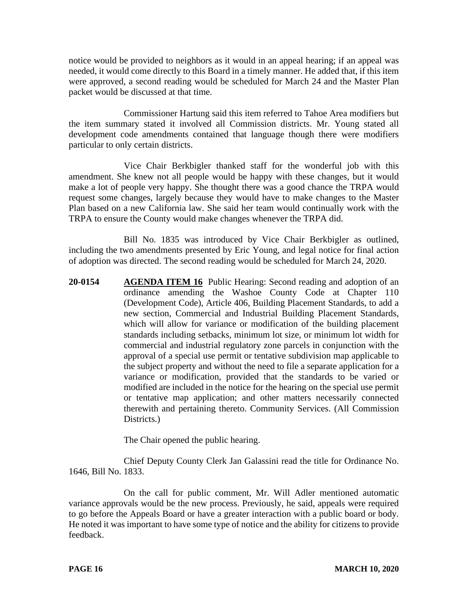notice would be provided to neighbors as it would in an appeal hearing; if an appeal was needed, it would come directly to this Board in a timely manner. He added that, if this item were approved, a second reading would be scheduled for March 24 and the Master Plan packet would be discussed at that time.

Commissioner Hartung said this item referred to Tahoe Area modifiers but the item summary stated it involved all Commission districts. Mr. Young stated all development code amendments contained that language though there were modifiers particular to only certain districts.

Vice Chair Berkbigler thanked staff for the wonderful job with this amendment. She knew not all people would be happy with these changes, but it would make a lot of people very happy. She thought there was a good chance the TRPA would request some changes, largely because they would have to make changes to the Master Plan based on a new California law. She said her team would continually work with the TRPA to ensure the County would make changes whenever the TRPA did.

Bill No. 1835 was introduced by Vice Chair Berkbigler as outlined, including the two amendments presented by Eric Young, and legal notice for final action of adoption was directed. The second reading would be scheduled for March 24, 2020.

**20-0154 AGENDA ITEM 16** Public Hearing: Second reading and adoption of an ordinance amending the Washoe County Code at Chapter 110 (Development Code), Article 406, Building Placement Standards, to add a new section, Commercial and Industrial Building Placement Standards, which will allow for variance or modification of the building placement standards including setbacks, minimum lot size, or minimum lot width for commercial and industrial regulatory zone parcels in conjunction with the approval of a special use permit or tentative subdivision map applicable to the subject property and without the need to file a separate application for a variance or modification, provided that the standards to be varied or modified are included in the notice for the hearing on the special use permit or tentative map application; and other matters necessarily connected therewith and pertaining thereto. Community Services. (All Commission Districts.

The Chair opened the public hearing.

Chief Deputy County Clerk Jan Galassini read the title for Ordinance No. 1646, Bill No. 1833.

On the call for public comment, Mr. Will Adler mentioned automatic variance approvals would be the new process. Previously, he said, appeals were required to go before the Appeals Board or have a greater interaction with a public board or body. He noted it was important to have some type of notice and the ability for citizens to provide feedback.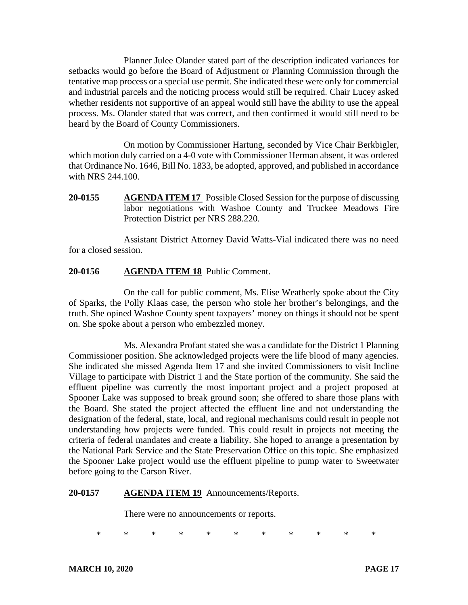Planner Julee Olander stated part of the description indicated variances for setbacks would go before the Board of Adjustment or Planning Commission through the tentative map process or a special use permit. She indicated these were only for commercial and industrial parcels and the noticing process would still be required. Chair Lucey asked whether residents not supportive of an appeal would still have the ability to use the appeal process. Ms. Olander stated that was correct, and then confirmed it would still need to be heard by the Board of County Commissioners.

On motion by Commissioner Hartung, seconded by Vice Chair Berkbigler, which motion duly carried on a 4-0 vote with Commissioner Herman absent, it was ordered that Ordinance No. 1646, Bill No. 1833, be adopted, approved, and published in accordance with NRS 244.100.

**20-0155 AGENDA ITEM 17** Possible Closed Session for the purpose of discussing labor negotiations with Washoe County and Truckee Meadows Fire Protection District per NRS 288.220.

Assistant District Attorney David Watts-Vial indicated there was no need for a closed session.

## **20-0156 AGENDA ITEM 18** Public Comment.

On the call for public comment, Ms. Elise Weatherly spoke about the City of Sparks, the Polly Klaas case, the person who stole her brother's belongings, and the truth. She opined Washoe County spent taxpayers' money on things it should not be spent on. She spoke about a person who embezzled money.

Ms. Alexandra Profant stated she was a candidate for the District 1 Planning Commissioner position. She acknowledged projects were the life blood of many agencies. She indicated she missed Agenda Item 17 and she invited Commissioners to visit Incline Village to participate with District 1 and the State portion of the community. She said the effluent pipeline was currently the most important project and a project proposed at Spooner Lake was supposed to break ground soon; she offered to share those plans with the Board. She stated the project affected the effluent line and not understanding the designation of the federal, state, local, and regional mechanisms could result in people not understanding how projects were funded. This could result in projects not meeting the criteria of federal mandates and create a liability. She hoped to arrange a presentation by the National Park Service and the State Preservation Office on this topic. She emphasized the Spooner Lake project would use the effluent pipeline to pump water to Sweetwater before going to the Carson River.

#### **20-0157 AGENDA ITEM 19** Announcements/Reports.

There were no announcements or reports.

\* \* \* \* \* \* \* \* \* \* \*